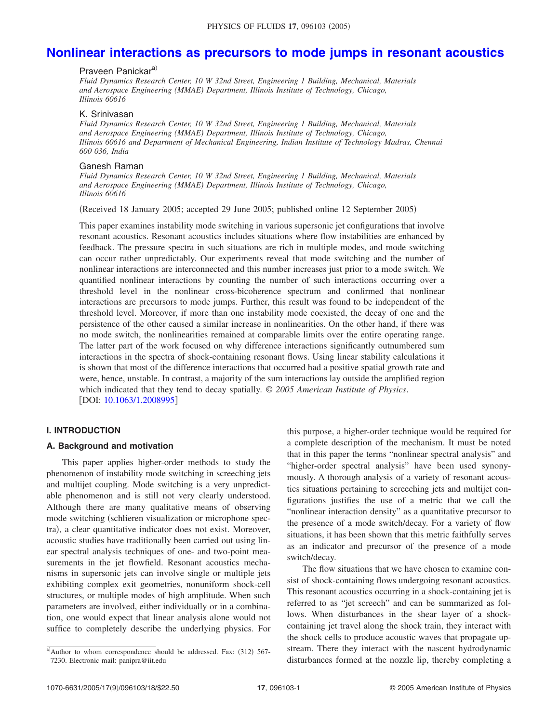# **Nonlinear interactions as precursors to mode jumps in resonant acoustics**

## Praveen Panickar<sup>a)</sup>

*Fluid Dynamics Research Center, 10 W 32nd Street, Engineering 1 Building, Mechanical, Materials and Aerospace Engineering (MMAE) Department, Illinois Institute of Technology, Chicago, Illinois 60616*

## K. Srinivasan

*Fluid Dynamics Research Center, 10 W 32nd Street, Engineering 1 Building, Mechanical, Materials and Aerospace Engineering (MMAE) Department, Illinois Institute of Technology, Chicago, Illinois 60616 and Department of Mechanical Engineering, Indian Institute of Technology Madras, Chennai 600 036, India*

## Ganesh Raman

*Fluid Dynamics Research Center, 10 W 32nd Street, Engineering 1 Building, Mechanical, Materials and Aerospace Engineering (MMAE) Department, Illinois Institute of Technology, Chicago, Illinois 60616*

Received 18 January 2005; accepted 29 June 2005; published online 12 September 2005-

This paper examines instability mode switching in various supersonic jet configurations that involve resonant acoustics. Resonant acoustics includes situations where flow instabilities are enhanced by feedback. The pressure spectra in such situations are rich in multiple modes, and mode switching can occur rather unpredictably. Our experiments reveal that mode switching and the number of nonlinear interactions are interconnected and this number increases just prior to a mode switch. We quantified nonlinear interactions by counting the number of such interactions occurring over a threshold level in the nonlinear cross-bicoherence spectrum and confirmed that nonlinear interactions are precursors to mode jumps. Further, this result was found to be independent of the threshold level. Moreover, if more than one instability mode coexisted, the decay of one and the persistence of the other caused a similar increase in nonlinearities. On the other hand, if there was no mode switch, the nonlinearities remained at comparable limits over the entire operating range. The latter part of the work focused on why difference interactions significantly outnumbered sum interactions in the spectra of shock-containing resonant flows. Using linear stability calculations it is shown that most of the difference interactions that occurred had a positive spatial growth rate and were, hence, unstable. In contrast, a majority of the sum interactions lay outside the amplified region which indicated that they tend to decay spatially. © *2005 American Institute of Physics*. [DOI: 10.1063/1.2008995]

## **I. INTRODUCTION**

### **A. Background and motivation**

This paper applies higher-order methods to study the phenomenon of instability mode switching in screeching jets and multijet coupling. Mode switching is a very unpredictable phenomenon and is still not very clearly understood. Although there are many qualitative means of observing mode switching (schlieren visualization or microphone spectra), a clear quantitative indicator does not exist. Moreover, acoustic studies have traditionally been carried out using linear spectral analysis techniques of one- and two-point measurements in the jet flowfield. Resonant acoustics mechanisms in supersonic jets can involve single or multiple jets exhibiting complex exit geometries, nonuniform shock-cell structures, or multiple modes of high amplitude. When such parameters are involved, either individually or in a combination, one would expect that linear analysis alone would not suffice to completely describe the underlying physics. For this purpose, a higher-order technique would be required for a complete description of the mechanism. It must be noted that in this paper the terms "nonlinear spectral analysis" and "higher-order spectral analysis" have been used synonymously. A thorough analysis of a variety of resonant acoustics situations pertaining to screeching jets and multijet configurations justifies the use of a metric that we call the "nonlinear interaction density" as a quantitative precursor to the presence of a mode switch/decay. For a variety of flow situations, it has been shown that this metric faithfully serves as an indicator and precursor of the presence of a mode switch/decay.

The flow situations that we have chosen to examine consist of shock-containing flows undergoing resonant acoustics. This resonant acoustics occurring in a shock-containing jet is referred to as "jet screech" and can be summarized as follows. When disturbances in the shear layer of a shockcontaining jet travel along the shock train, they interact with the shock cells to produce acoustic waves that propagate upstream. There they interact with the nascent hydrodynamic disturbances formed at the nozzle lip, thereby completing a

a)Author to whom correspondence should be addressed. Fax: (312) 567-7230. Electronic mail: panipra@iit.edu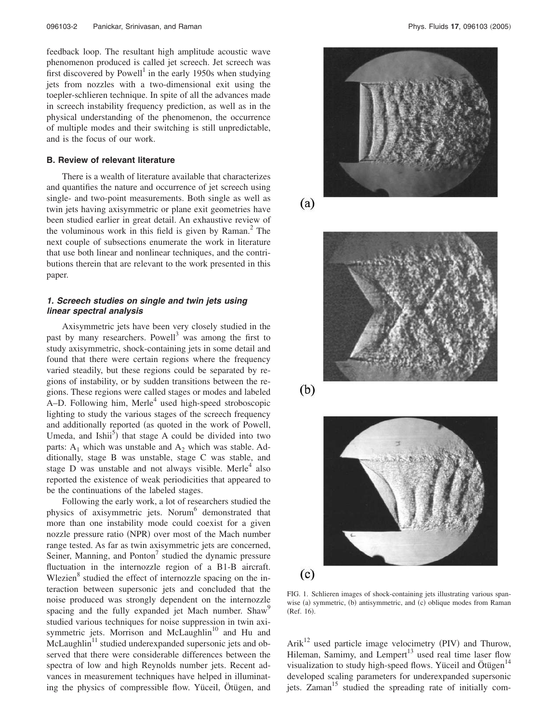feedback loop. The resultant high amplitude acoustic wave phenomenon produced is called jet screech. Jet screech was first discovered by Powell<sup>1</sup> in the early 1950s when studying jets from nozzles with a two-dimensional exit using the toepler-schlieren technique. In spite of all the advances made in screech instability frequency prediction, as well as in the physical understanding of the phenomenon, the occurrence of multiple modes and their switching is still unpredictable, and is the focus of our work.

## **B. Review of relevant literature**

There is a wealth of literature available that characterizes and quantifies the nature and occurrence of jet screech using single- and two-point measurements. Both single as well as twin jets having axisymmetric or plane exit geometries have been studied earlier in great detail. An exhaustive review of the voluminous work in this field is given by Raman.<sup>2</sup> The next couple of subsections enumerate the work in literature that use both linear and nonlinear techniques, and the contributions therein that are relevant to the work presented in this paper.

# **1. Screech studies on single and twin jets using linear spectral analysis**

Axisymmetric jets have been very closely studied in the past by many researchers. Powell<sup>3</sup> was among the first to study axisymmetric, shock-containing jets in some detail and found that there were certain regions where the frequency varied steadily, but these regions could be separated by regions of instability, or by sudden transitions between the regions. These regions were called stages or modes and labeled A-D. Following him, Merle<sup>4</sup> used high-speed stroboscopic lighting to study the various stages of the screech frequency and additionally reported (as quoted in the work of Powell, Umeda, and  $Ishii<sup>5</sup>$  that stage A could be divided into two parts:  $A_1$  which was unstable and  $A_2$  which was stable. Additionally, stage B was unstable, stage C was stable, and stage  $D$  was unstable and not always visible. Merle<sup>4</sup> also reported the existence of weak periodicities that appeared to be the continuations of the labeled stages.

Following the early work, a lot of researchers studied the physics of axisymmetric jets. Norum<sup>6</sup> demonstrated that more than one instability mode could coexist for a given nozzle pressure ratio (NPR) over most of the Mach number range tested. As far as twin axisymmetric jets are concerned, Seiner, Manning, and Ponton<sup>7</sup> studied the dynamic pressure fluctuation in the internozzle region of a B1-B aircraft. Wlezien<sup>8</sup> studied the effect of internozzle spacing on the interaction between supersonic jets and concluded that the noise produced was strongly dependent on the internozzle spacing and the fully expanded jet Mach number. Shaw<sup>9</sup> studied various techniques for noise suppression in twin axisymmetric jets. Morrison and McLaughlin<sup>10</sup> and Hu and  $McLaughlin<sup>11</sup>$  studied underexpanded supersonic jets and observed that there were considerable differences between the spectra of low and high Reynolds number jets. Recent advances in measurement techniques have helped in illuminating the physics of compressible flow. Yüceil, Ötügen, and



 $(a)$ 



 $(b)$ 



FIG. 1. Schlieren images of shock-containing jets illustrating various spanwise (a) symmetric, (b) antisymmetric, and (c) oblique modes from Raman  $(Ref. 16).$ 

Arik<sup>12</sup> used particle image velocimetry (PIV) and Thurow, Hileman, Samimy, and Lempert<sup>13</sup> used real time laser flow visualization to study high-speed flows. Yüceil and Ötügen<sup>14</sup> developed scaling parameters for underexpanded supersonic jets. Zaman<sup>15</sup> studied the spreading rate of initially com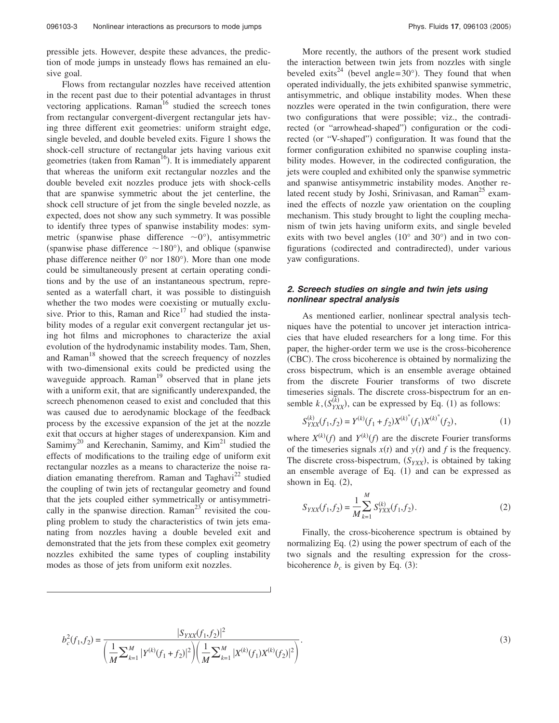pressible jets. However, despite these advances, the prediction of mode jumps in unsteady flows has remained an elusive goal.

Flows from rectangular nozzles have received attention in the recent past due to their potential advantages in thrust vectoring applications. Raman<sup>16</sup> studied the screech tones from rectangular convergent-divergent rectangular jets having three different exit geometries: uniform straight edge, single beveled, and double beveled exits. Figure 1 shows the shock-cell structure of rectangular jets having various exit geometries (taken from Raman<sup>16</sup>). It is immediately apparent that whereas the uniform exit rectangular nozzles and the double beveled exit nozzles produce jets with shock-cells that are spanwise symmetric about the jet centerline, the shock cell structure of jet from the single beveled nozzle, as expected, does not show any such symmetry. It was possible to identify three types of spanwise instability modes: symmetric (spanwise phase difference  $\sim 0^{\circ}$ ), antisymmetric (spanwise phase difference  $\sim 180^{\circ}$ ), and oblique (spanwise phase difference neither 0° nor 180°). More than one mode could be simultaneously present at certain operating conditions and by the use of an instantaneous spectrum, represented as a waterfall chart, it was possible to distinguish whether the two modes were coexisting or mutually exclusive. Prior to this, Raman and  $Rice<sup>17</sup>$  had studied the instability modes of a regular exit convergent rectangular jet using hot films and microphones to characterize the axial evolution of the hydrodynamic instability modes. Tam, Shen, and Raman<sup>18</sup> showed that the screech frequency of nozzles with two-dimensional exits could be predicted using the waveguide approach. Raman<sup>19</sup> observed that in plane jets with a uniform exit, that are significantly underexpanded, the screech phenomenon ceased to exist and concluded that this was caused due to aerodynamic blockage of the feedback process by the excessive expansion of the jet at the nozzle exit that occurs at higher stages of underexpansion. Kim and Samimy<sup>20</sup> and Kerechanin, Samimy, and  $Kim<sup>21</sup> studied the$ effects of modifications to the trailing edge of uniform exit rectangular nozzles as a means to characterize the noise radiation emanating therefrom. Raman and Taghavi<sup>22</sup> studied the coupling of twin jets of rectangular geometry and found that the jets coupled either symmetrically or antisymmetrically in the spanwise direction. Raman<sup>23</sup> revisited the coupling problem to study the characteristics of twin jets emanating from nozzles having a double beveled exit and demonstrated that the jets from these complex exit geometry nozzles exhibited the same types of coupling instability modes as those of jets from uniform exit nozzles.

More recently, the authors of the present work studied the interaction between twin jets from nozzles with single beveled exits<sup>24</sup> (bevel angle=30°). They found that when operated individually, the jets exhibited spanwise symmetric, antisymmetric, and oblique instability modes. When these nozzles were operated in the twin configuration, there were two configurations that were possible; viz., the contradirected (or "arrowhead-shaped") configuration or the codirected (or "V-shaped") configuration. It was found that the former configuration exhibited no spanwise coupling instability modes. However, in the codirected configuration, the jets were coupled and exhibited only the spanwise symmetric and spanwise antisymmetric instability modes. Another related recent study by Joshi, Srinivasan, and Raman<sup>25</sup> examined the effects of nozzle yaw orientation on the coupling mechanism. This study brought to light the coupling mechanism of twin jets having uniform exits, and single beveled exits with two bevel angles  $(10^{\circ}$  and  $30^{\circ})$  and in two configurations (codirected and contradirected), under various yaw configurations.

# **2. Screech studies on single and twin jets using nonlinear spectral analysis**

As mentioned earlier, nonlinear spectral analysis techniques have the potential to uncover jet interaction intricacies that have eluded researchers for a long time. For this paper, the higher-order term we use is the cross-bicoherence (CBC). The cross bicoherence is obtained by normalizing the cross bispectrum, which is an ensemble average obtained from the discrete Fourier transforms of two discrete timeseries signals. The discrete cross-bispectrum for an ensemble  $k$ ,  $(S_{YXX}^{(k)})$ , can be expressed by Eq. (1) as follows:

$$
S_{YXX}^{(k)}(f_1, f_2) = Y^{(k)}(f_1 + f_2)X^{(k)^{*}}(f_1)X^{(k)^{*}}(f_2),
$$
\n(1)

where  $X^{(k)}(f)$  and  $Y^{(k)}(f)$  are the discrete Fourier transforms of the timeseries signals  $x(t)$  and  $y(t)$  and  $f$  is the frequency. The discrete cross-bispectrum,  $(S_{YXX})$ , is obtained by taking an ensemble average of Eq.  $(1)$  and can be expressed as shown in Eq.  $(2)$ ,

$$
S_{YXX}(f_1, f_2) = \frac{1}{M} \sum_{k=1}^{M} S_{YXX}^{(k)}(f_1, f_2).
$$
 (2)

Finally, the cross-bicoherence spectrum is obtained by normalizing Eq. (2) using the power spectrum of each of the two signals and the resulting expression for the crossbicoherence  $b_c$  is given by Eq. (3):

$$
b_c^2(f_1, f_2) = \frac{|S_{YXX}(f_1, f_2)|^2}{\left(\frac{1}{M}\sum_{k=1}^M |Y^{(k)}(f_1 + f_2)|^2\right)\left(\frac{1}{M}\sum_{k=1}^M |X^{(k)}(f_1)X^{(k)}(f_2)|^2\right)}
$$

.  $\hspace{2.5cm} (3)$  $(3)$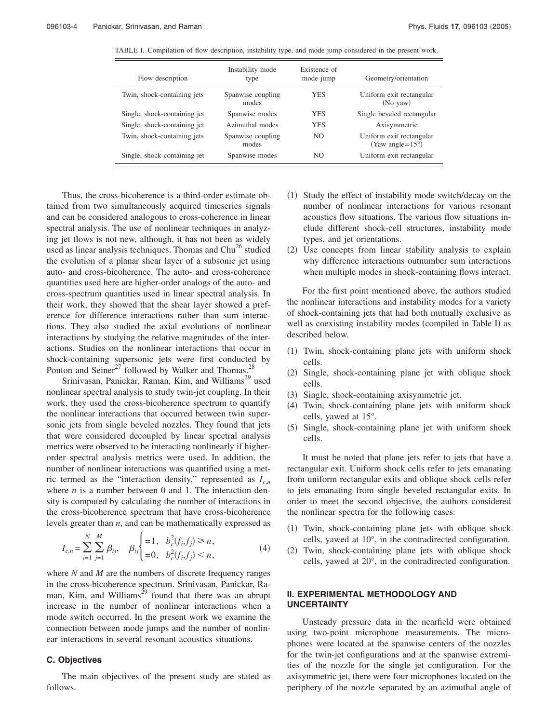TABLE I. Compilation of flow description, instability type, and mode jump considered in the present work.

| Flow description             | Instability mode<br>type   | Existence of<br>mode jump | Geometry/orientation                                    |
|------------------------------|----------------------------|---------------------------|---------------------------------------------------------|
| Twin, shock-containing jets  | Spanwise coupling<br>modes | YES                       | Uniform exit rectangular<br>$(No\; vaw)$                |
| Single, shock-containing jet | Spanwise modes             | YES                       | Single beveled rectangular                              |
| Single, shock-containing jet | Azimuthal modes            | <b>YES</b>                | Axisymmetric                                            |
| Twin, shock-containing jets  | Spanwise coupling<br>modes | N <sub>O</sub>            | Uniform exit rectangular<br>(Yaw angle = $15^{\circ}$ ) |
| Single, shock-containing jet | Spanwise modes             | NO.                       | Uniform exit rectangular                                |

Thus, the cross-bicoherence is a third-order estimate obtained from two simultaneously acquired timeseries signals and can be considered analogous to cross-coherence in linear spectral analysis. The use of nonlinear techniques in analyzing jet flows is not new, although, it has not been as widely used as linear analysis techniques. Thomas and Chu<sup>26</sup> studied the evolution of a planar shear layer of a subsonic jet using auto- and cross-bicoherence. The auto- and cross-coherence quantities used here are higher-order analogs of the auto- and cross-spectrum quantities used in linear spectral analysis. In their work, they showed that the shear layer showed a preference for difference interactions rather than sum interactions. They also studied the axial evolutions of nonlinear interactions by studying the relative magnitudes of the interactions. Studies on the nonlinear interactions that occur in shock-containing supersonic jets were first conducted by Ponton and Seiner<sup>27</sup> followed by Walker and Thomas.<sup>28</sup>

Srinivasan, Panickar, Raman, Kim, and Williams<sup>29</sup> used nonlinear spectral analysis to study twin-jet coupling. In their work, they used the cross-bicoherence spectrum to quantify the nonlinear interactions that occurred between twin supersonic jets from single beveled nozzles. They found that jets that were considered decoupled by linear spectral analysis metrics were observed to be interacting nonlinearly if higherorder spectral analysis metrics were used. In addition, the number of nonlinear interactions was quantified using a metric termed as the "interaction density," represented as  $I_{c,n}$ where *n* is a number between 0 and 1. The interaction density is computed by calculating the number of interactions in the cross-bicoherence spectrum that have cross-bicoherence levels greater than *n*, and can be mathematically expressed as

$$
I_{c,n} = \sum_{i=1}^{N} \sum_{j=1}^{M} \beta_{ij}, \quad \beta_{ij} \begin{cases} = 1, & b_c^2(f_i, f_j) \ge n, \\ = 0, & b_c^2(f_i, f_j) < n, \end{cases} \tag{4}
$$

where *N* and *M* are the numbers of discrete frequency ranges in the cross-bicoherence spectrum. Srinivasan, Panickar, Raman, Kim, and Williams<sup>29</sup> found that there was an abrupt increase in the number of nonlinear interactions when a mode switch occurred. In the present work we examine the connection between mode jumps and the number of nonlinear interactions in several resonant acoustics situations.

#### **C. Objectives**

The main objectives of the present study are stated as follows.

- (1) Study the effect of instability mode switch/decay on the number of nonlinear interactions for various resonant acoustics flow situations. The various flow situations include different shock-cell structures, instability mode types, and jet orientations.
- (2) Use concepts from linear stability analysis to explain why difference interactions outnumber sum interactions when multiple modes in shock-containing flows interact.

For the first point mentioned above, the authors studied the nonlinear interactions and instability modes for a variety of shock-containing jets that had both mutually exclusive as well as coexisting instability modes (compiled in Table I) as described below.

- (1) Twin, shock-containing plane jets with uniform shock cells.
- (2) Single, shock-containing plane jet with oblique shock cells.
- (3) Single, shock-containing axisymmetric jet.
- (4) Twin, shock-containing plane jets with uniform shock cells, yawed at 15°.
- (5) Single, shock-containing plane jet with uniform shock cells.

It must be noted that plane jets refer to jets that have a rectangular exit. Uniform shock cells refer to jets emanating from uniform rectangular exits and oblique shock cells refer to jets emanating from single beveled rectangular exits. In order to meet the second objective, the authors considered the nonlinear spectra for the following cases:

- (1) Twin, shock-containing plane jets with oblique shock cells, yawed at 10°, in the contradirected configuration.
- (2) Twin, shock-containing plane jets with oblique shock cells, yawed at 20°, in the contradirected configuration.

## **II. EXPERIMENTAL METHODOLOGY AND UNCERTAINTY**

Unsteady pressure data in the nearfield were obtained using two-point microphone measurements. The microphones were located at the spanwise centers of the nozzles for the twin-jet configurations and at the spanwise extremities of the nozzle for the single jet configuration. For the axisymmetric jet, there were four microphones located on the periphery of the nozzle separated by an azimuthal angle of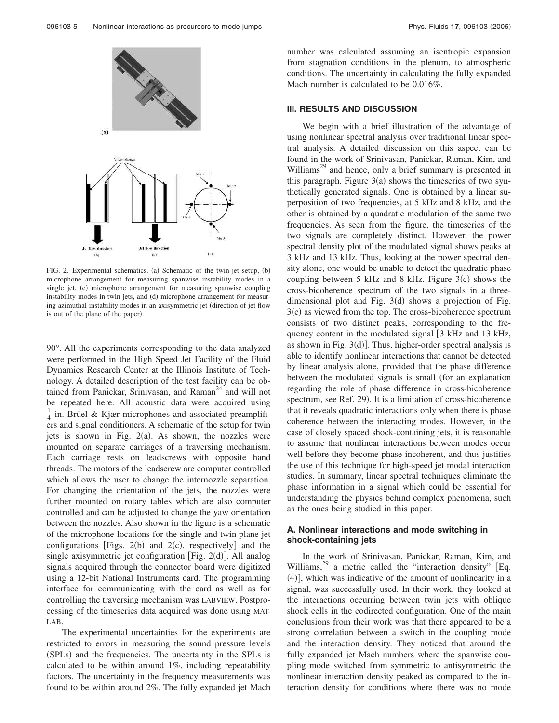

FIG. 2. Experimental schematics. (a) Schematic of the twin-jet setup, (b) microphone arrangement for measuring spanwise instability modes in a single jet, (c) microphone arrangement for measuring spanwise coupling instability modes in twin jets, and (d) microphone arrangement for measuring azimuthal instability modes in an axisymmetric jet direction of jet flow is out of the plane of the paper).

90°. All the experiments corresponding to the data analyzed were performed in the High Speed Jet Facility of the Fluid Dynamics Research Center at the Illinois Institute of Technology. A detailed description of the test facility can be obtained from Panickar, Srinivasan, and Raman<sup>24</sup> and will not be repeated here. All acoustic data were acquired using  $\frac{1}{4}$ -in. Brüel & Kjær microphones and associated preamplifiers and signal conditioners. A schematic of the setup for twin jets is shown in Fig.  $2(a)$ . As shown, the nozzles were mounted on separate carriages of a traversing mechanism. Each carriage rests on leadscrews with opposite hand threads. The motors of the leadscrew are computer controlled which allows the user to change the internozzle separation. For changing the orientation of the jets, the nozzles were further mounted on rotary tables which are also computer controlled and can be adjusted to change the yaw orientation between the nozzles. Also shown in the figure is a schematic of the microphone locations for the single and twin plane jet configurations [Figs.  $2(b)$  and  $2(c)$ , respectively] and the single axisymmetric jet configuration [Fig. 2(d)]. All analog signals acquired through the connector board were digitized using a 12-bit National Instruments card. The programming interface for communicating with the card as well as for controlling the traversing mechanism was LABVIEW. Postprocessing of the timeseries data acquired was done using MAT-LAB.

The experimental uncertainties for the experiments are restricted to errors in measuring the sound pressure levels (SPLs) and the frequencies. The uncertainty in the SPLs is calculated to be within around 1%, including repeatability factors. The uncertainty in the frequency measurements was found to be within around 2%. The fully expanded jet Mach number was calculated assuming an isentropic expansion from stagnation conditions in the plenum, to atmospheric conditions. The uncertainty in calculating the fully expanded Mach number is calculated to be 0.016%.

### **III. RESULTS AND DISCUSSION**

We begin with a brief illustration of the advantage of using nonlinear spectral analysis over traditional linear spectral analysis. A detailed discussion on this aspect can be found in the work of Srinivasan, Panickar, Raman, Kim, and Williams<sup>29</sup> and hence, only a brief summary is presented in this paragraph. Figure  $3(a)$  shows the timeseries of two synthetically generated signals. One is obtained by a linear superposition of two frequencies, at 5 kHz and 8 kHz, and the other is obtained by a quadratic modulation of the same two frequencies. As seen from the figure, the timeseries of the two signals are completely distinct. However, the power spectral density plot of the modulated signal shows peaks at 3 kHz and 13 kHz. Thus, looking at the power spectral density alone, one would be unable to detect the quadratic phase coupling between 5 kHz and 8 kHz. Figure  $3(c)$  shows the cross-bicoherence spectrum of the two signals in a threedimensional plot and Fig.  $3(d)$  shows a projection of Fig. 3c- as viewed from the top. The cross-bicoherence spectrum consists of two distinct peaks, corresponding to the frequency content in the modulated signal  $\beta$  kHz and 13 kHz, as shown in Fig.  $3(d)$ ]. Thus, higher-order spectral analysis is able to identify nonlinear interactions that cannot be detected by linear analysis alone, provided that the phase difference between the modulated signals is small for an explanation regarding the role of phase difference in cross-bicoherence spectrum, see Ref. 29). It is a limitation of cross-bicoherence that it reveals quadratic interactions only when there is phase coherence between the interacting modes. However, in the case of closely spaced shock-containing jets, it is reasonable to assume that nonlinear interactions between modes occur well before they become phase incoherent, and thus justifies the use of this technique for high-speed jet modal interaction studies. In summary, linear spectral techniques eliminate the phase information in a signal which could be essential for understanding the physics behind complex phenomena, such as the ones being studied in this paper.

## **A. Nonlinear interactions and mode switching in shock-containing jets**

In the work of Srinivasan, Panickar, Raman, Kim, and Williams,<sup>29</sup> a metric called the "interaction density" [Eq. (4)], which was indicative of the amount of nonlinearity in a signal, was successfully used. In their work, they looked at the interactions occurring between twin jets with oblique shock cells in the codirected configuration. One of the main conclusions from their work was that there appeared to be a strong correlation between a switch in the coupling mode and the interaction density. They noticed that around the fully expanded jet Mach numbers where the spanwise coupling mode switched from symmetric to antisymmetric the nonlinear interaction density peaked as compared to the interaction density for conditions where there was no mode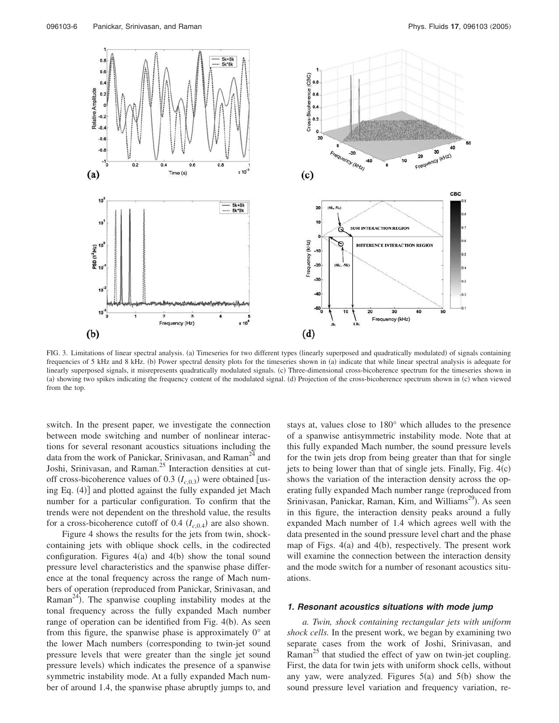

FIG. 3. Limitations of linear spectral analysis. (a) Timeseries for two different types (linearly superposed and quadratically modulated) of signals containing frequencies of 5 kHz and 8 kHz. (b) Power spectral density plots for the timeseries shown in (a) indicate that while linear spectral analysis is adequate for linearly superposed signals, it misrepresents quadratically modulated signals. (c) Three-dimensional cross-bicoherence spectrum for the timeseries shown in (a) showing two spikes indicating the frequency content of the modulated signal. (d) Projection of the cross-bicoherence spectrum shown in (c) when viewed from the top.

switch. In the present paper, we investigate the connection between mode switching and number of nonlinear interactions for several resonant acoustics situations including the data from the work of Panickar, Srinivasan, and Raman<sup>24</sup> and Joshi, Srinivasan, and Raman.<sup>25</sup> Interaction densities at cutoff cross-bicoherence values of 0.3  $(I_{c,0.3})$  were obtained [using Eq. (4)] and plotted against the fully expanded jet Mach number for a particular configuration. To confirm that the trends were not dependent on the threshold value, the results for a cross-bicoherence cutoff of 0.4  $(I_{c,0.4})$  are also shown.

Figure 4 shows the results for the jets from twin, shockcontaining jets with oblique shock cells, in the codirected configuration. Figures  $4(a)$  and  $4(b)$  show the tonal sound pressure level characteristics and the spanwise phase difference at the tonal frequency across the range of Mach numbers of operation (reproduced from Panickar, Srinivasan, and Raman<sup>24</sup>). The spanwise coupling instability modes at the tonal frequency across the fully expanded Mach number range of operation can be identified from Fig. 4(b). As seen from this figure, the spanwise phase is approximately  $0^{\circ}$  at the lower Mach numbers (corresponding to twin-jet sound pressure levels that were greater than the single jet sound pressure levels) which indicates the presence of a spanwise symmetric instability mode. At a fully expanded Mach number of around 1.4, the spanwise phase abruptly jumps to, and stays at, values close to 180° which alludes to the presence of a spanwise antisymmetric instability mode. Note that at this fully expanded Mach number, the sound pressure levels for the twin jets drop from being greater than that for single jets to being lower than that of single jets. Finally, Fig.  $4(c)$ shows the variation of the interaction density across the operating fully expanded Mach number range (reproduced from Srinivasan, Panickar, Raman, Kim, and Williams<sup>29</sup>). As seen in this figure, the interaction density peaks around a fully expanded Mach number of 1.4 which agrees well with the data presented in the sound pressure level chart and the phase map of Figs. 4(a) and 4(b), respectively. The present work will examine the connection between the interaction density and the mode switch for a number of resonant acoustics situations.

## **1. Resonant acoustics situations with mode jump**

*a. Twin, shock containing rectangular jets with uniform shock cells.* In the present work, we began by examining two separate cases from the work of Joshi, Srinivasan, and Raman<sup>25</sup> that studied the effect of yaw on twin-jet coupling. First, the data for twin jets with uniform shock cells, without any yaw, were analyzed. Figures  $5(a)$  and  $5(b)$  show the sound pressure level variation and frequency variation, re-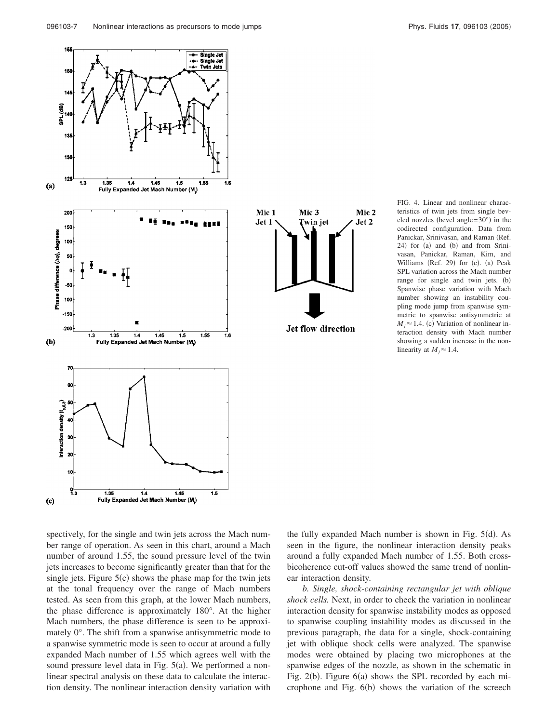

FIG. 4. Linear and nonlinear characteristics of twin jets from single beveled nozzles (bevel angle= $30^{\circ}$ ) in the codirected configuration. Data from Panickar, Srinivasan, and Raman (Ref. 24) for (a) and (b) and from Srinivasan, Panickar, Raman, Kim, and Williams (Ref. 29) for (c). (a) Peak SPL variation across the Mach number range for single and twin jets. (b) Spanwise phase variation with Mach number showing an instability coupling mode jump from spanwise symmetric to spanwise antisymmetric at  $M_j \approx 1.4$ . (c) Variation of nonlinear interaction density with Mach number showing a sudden increase in the nonlinearity at  $M_i \approx 1.4$ .

spectively, for the single and twin jets across the Mach number range of operation. As seen in this chart, around a Mach number of around 1.55, the sound pressure level of the twin jets increases to become significantly greater than that for the single jets. Figure  $5(c)$  shows the phase map for the twin jets at the tonal frequency over the range of Mach numbers tested. As seen from this graph, at the lower Mach numbers, the phase difference is approximately 180°. At the higher Mach numbers, the phase difference is seen to be approximately 0°. The shift from a spanwise antisymmetric mode to a spanwise symmetric mode is seen to occur at around a fully expanded Mach number of 1.55 which agrees well with the sound pressure level data in Fig. 5(a). We performed a nonlinear spectral analysis on these data to calculate the interaction density. The nonlinear interaction density variation with

the fully expanded Mach number is shown in Fig. 5(d). As seen in the figure, the nonlinear interaction density peaks around a fully expanded Mach number of 1.55. Both crossbicoherence cut-off values showed the same trend of nonlinear interaction density.

*b. Single, shock-containing rectangular jet with oblique shock cells.* Next, in order to check the variation in nonlinear interaction density for spanwise instability modes as opposed to spanwise coupling instability modes as discussed in the previous paragraph, the data for a single, shock-containing jet with oblique shock cells were analyzed. The spanwise modes were obtained by placing two microphones at the spanwise edges of the nozzle, as shown in the schematic in Fig.  $2(b)$ . Figure  $6(a)$  shows the SPL recorded by each microphone and Fig.  $6(b)$  shows the variation of the screech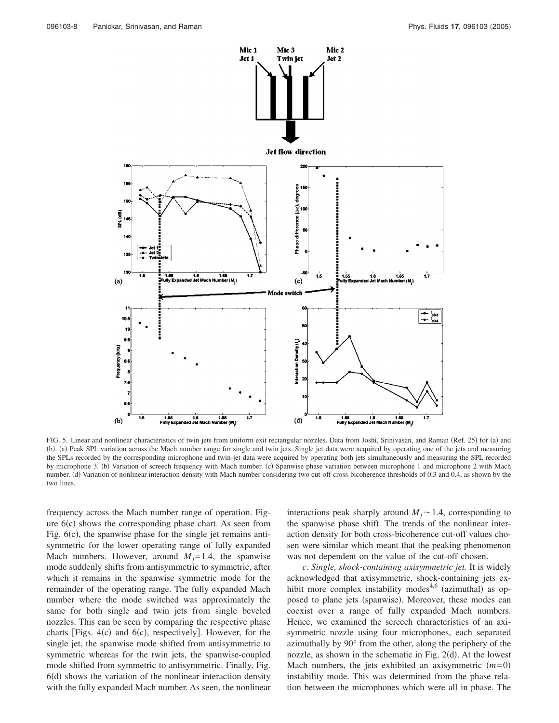

FIG. 5. Linear and nonlinear characteristics of twin jets from uniform exit rectangular nozzles. Data from Joshi, Srinivasan, and Raman (Ref. 25) for (a) and b-. a- Peak SPL variation across the Mach number range for single and twin jets. Single jet data were acquired by operating one of the jets and measuring the SPLs recorded by the corresponding microphone and twin-jet data were acquired by operating both jets simultaneously and measuring the SPL recorded by microphone 3. (b) Variation of screech frequency with Mach number. (c) Spanwise phase variation between microphone 1 and microphone 2 with Mach number. (d) Variation of nonlinear interaction density with Mach number considering two cut-off cross-bicoherence thresholds of 0.3 and 0.4, as shown by the two lines.

frequency across the Mach number range of operation. Figure  $6(c)$  shows the corresponding phase chart. As seen from Fig.  $6(c)$ , the spanwise phase for the single jet remains antisymmetric for the lower operating range of fully expanded Mach numbers. However, around  $M_i = 1.4$ , the spanwise mode suddenly shifts from antisymmetric to symmetric, after which it remains in the spanwise symmetric mode for the remainder of the operating range. The fully expanded Mach number where the mode switched was approximately the same for both single and twin jets from single beveled nozzles. This can be seen by comparing the respective phase charts [Figs.  $4(c)$  and  $6(c)$ , respectively]. However, for the single jet, the spanwise mode shifted from antisymmetric to symmetric whereas for the twin jets, the spanwise-coupled mode shifted from symmetric to antisymmetric. Finally, Fig. 6(d) shows the variation of the nonlinear interaction density with the fully expanded Mach number. As seen, the nonlinear interactions peak sharply around  $M_i \sim 1.4$ , corresponding to the spanwise phase shift. The trends of the nonlinear interaction density for both cross-bicoherence cut-off values chosen were similar which meant that the peaking phenomenon was not dependent on the value of the cut-off chosen.

*c. Single, shock-containing axisymmetric jet.* It is widely acknowledged that axisymmetric, shock-containing jets exhibit more complex instability modes<sup>4,6</sup> (azimuthal) as opposed to plane jets (spanwise). Moreover, these modes can coexist over a range of fully expanded Mach numbers. Hence, we examined the screech characteristics of an axisymmetric nozzle using four microphones, each separated azimuthally by 90° from the other, along the periphery of the nozzle, as shown in the schematic in Fig.  $2(d)$ . At the lowest Mach numbers, the jets exhibited an axisymmetric  $(m=0)$ instability mode. This was determined from the phase relation between the microphones which were all in phase. The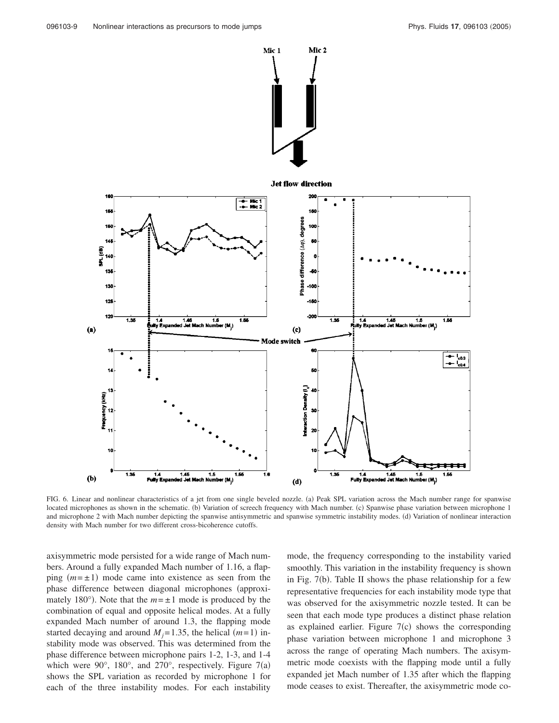

FIG. 6. Linear and nonlinear characteristics of a jet from one single beveled nozzle. (a) Peak SPL variation across the Mach number range for spanwise located microphones as shown in the schematic. (b) Variation of screech frequency with Mach number. (c) Spanwise phase variation between microphone 1 and microphone 2 with Mach number depicting the spanwise antisymmetric and spanwise symmetric instability modes. (d) Variation of nonlinear interaction density with Mach number for two different cross-bicoherence cutoffs.

axisymmetric mode persisted for a wide range of Mach numbers. Around a fully expanded Mach number of 1.16, a flapping  $(m=\pm 1)$  mode came into existence as seen from the phase difference between diagonal microphones (approximately 180°). Note that the  $m = \pm 1$  mode is produced by the combination of equal and opposite helical modes. At a fully expanded Mach number of around 1.3, the flapping mode started decaying and around  $M_j = 1.35$ , the helical  $(m=1)$  instability mode was observed. This was determined from the phase difference between microphone pairs 1-2, 1-3, and 1-4 which were 90 $^{\circ}$ , 180 $^{\circ}$ , and 270 $^{\circ}$ , respectively. Figure 7(a) shows the SPL variation as recorded by microphone 1 for each of the three instability modes. For each instability mode, the frequency corresponding to the instability varied smoothly. This variation in the instability frequency is shown in Fig. 7(b). Table II shows the phase relationship for a few representative frequencies for each instability mode type that was observed for the axisymmetric nozzle tested. It can be seen that each mode type produces a distinct phase relation as explained earlier. Figure  $7(c)$  shows the corresponding phase variation between microphone 1 and microphone 3 across the range of operating Mach numbers. The axisymmetric mode coexists with the flapping mode until a fully expanded jet Mach number of 1.35 after which the flapping mode ceases to exist. Thereafter, the axisymmetric mode co-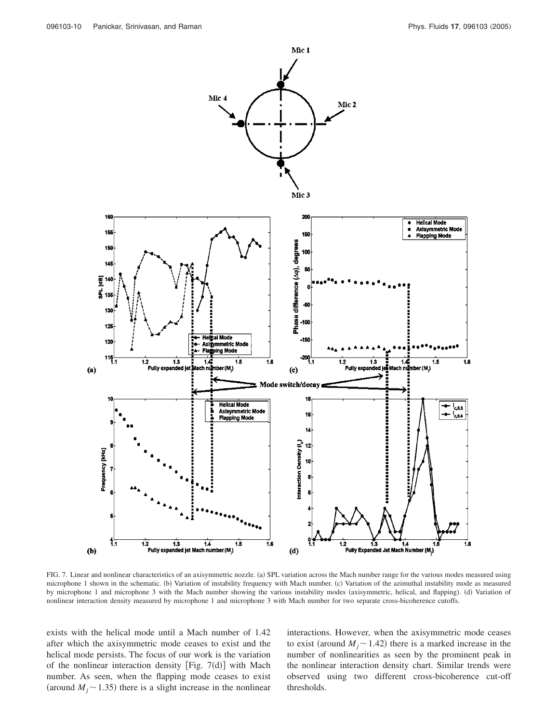

FIG. 7. Linear and nonlinear characteristics of an axisymmetric nozzle. (a) SPL variation across the Mach number range for the various modes measured using microphone 1 shown in the schematic. (b) Variation of instability frequency with Mach number. (c) Variation of the azimuthal instability mode as measured by microphone 1 and microphone 3 with the Mach number showing the various instability modes (axisymmetric, helical, and flapping). (d) Variation of nonlinear interaction density measured by microphone 1 and microphone 3 with Mach number for two separate cross-bicoherence cutoffs.

exists with the helical mode until a Mach number of 1.42 after which the axisymmetric mode ceases to exist and the helical mode persists. The focus of our work is the variation of the nonlinear interaction density [Fig.  $7(d)$ ] with Mach number. As seen, when the flapping mode ceases to exist (around  $M_j \sim 1.35$ ) there is a slight increase in the nonlinear

interactions. However, when the axisymmetric mode ceases to exist (around  $M_j \sim 1.42$ ) there is a marked increase in the number of nonlinearities as seen by the prominent peak in the nonlinear interaction density chart. Similar trends were observed using two different cross-bicoherence cut-off thresholds.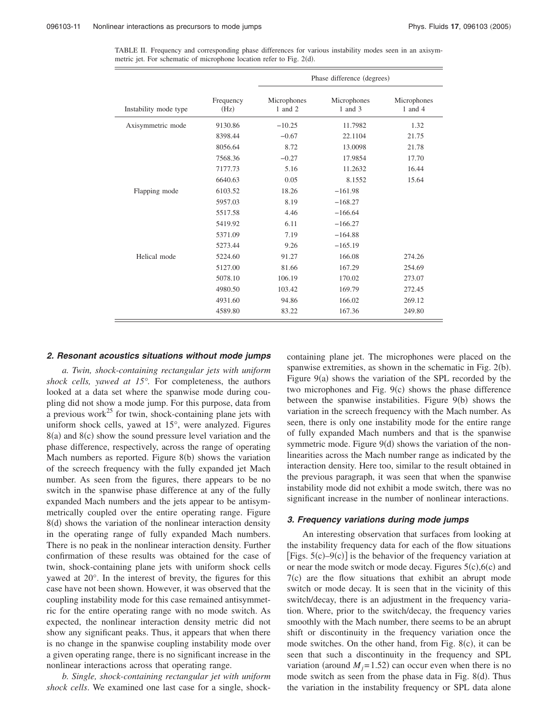TABLE II. Frequency and corresponding phase differences for various instability modes seen in an axisymmetric jet. For schematic of microphone location refer to Fig. 2(d).

|                       |                   | Phase difference (degrees) |                        |                        |  |  |
|-----------------------|-------------------|----------------------------|------------------------|------------------------|--|--|
| Instability mode type | Frequency<br>(Hz) | Microphones<br>1 and 2     | Microphones<br>1 and 3 | Microphones<br>1 and 4 |  |  |
| Axisymmetric mode     | 9130.86           | $-10.25$                   | 11.7982                | 1.32                   |  |  |
|                       | 8398.44           | $-0.67$                    | 22.1104                | 21.75                  |  |  |
|                       | 8056.64           | 8.72                       | 13.0098                | 21.78                  |  |  |
|                       | 7568.36           | $-0.27$                    | 17.9854                | 17.70                  |  |  |
|                       | 7177.73           | 5.16                       | 11.2632                | 16.44                  |  |  |
|                       | 6640.63           | 0.05                       | 8.1552                 | 15.64                  |  |  |
| Flapping mode         | 6103.52           | 18.26                      | $-161.98$              |                        |  |  |
|                       | 5957.03           | 8.19                       | $-168.27$              |                        |  |  |
|                       | 5517.58           | 4.46                       | $-166.64$              |                        |  |  |
|                       | 5419.92           | 6.11                       | $-166.27$              |                        |  |  |
|                       | 5371.09           | 7.19                       | $-164.88$              |                        |  |  |
|                       | 5273.44           | 9.26                       | $-165.19$              |                        |  |  |
| Helical mode          | 5224.60           | 91.27                      | 166.08                 | 274.26                 |  |  |
|                       | 5127.00           | 81.66                      | 167.29                 | 254.69                 |  |  |
|                       | 5078.10           | 106.19                     | 170.02                 | 273.07                 |  |  |
|                       | 4980.50           | 103.42                     | 169.79                 | 272.45                 |  |  |
|                       | 4931.60           | 94.86                      | 166.02                 | 269.12                 |  |  |
|                       | 4589.80           | 83.22                      | 167.36                 | 249.80                 |  |  |

#### **2. Resonant acoustics situations without mode jumps**

*a. Twin, shock-containing rectangular jets with uniform shock cells, yawed at 15°.* For completeness, the authors looked at a data set where the spanwise mode during coupling did not show a mode jump. For this purpose, data from a previous work<sup>25</sup> for twin, shock-containing plane jets with uniform shock cells, yawed at 15°, were analyzed. Figures  $8(a)$  and  $8(c)$  show the sound pressure level variation and the phase difference, respectively, across the range of operating Mach numbers as reported. Figure 8(b) shows the variation of the screech frequency with the fully expanded jet Mach number. As seen from the figures, there appears to be no switch in the spanwise phase difference at any of the fully expanded Mach numbers and the jets appear to be antisymmetrically coupled over the entire operating range. Figure 8(d) shows the variation of the nonlinear interaction density in the operating range of fully expanded Mach numbers. There is no peak in the nonlinear interaction density. Further confirmation of these results was obtained for the case of twin, shock-containing plane jets with uniform shock cells yawed at 20°. In the interest of brevity, the figures for this case have not been shown. However, it was observed that the coupling instability mode for this case remained antisymmetric for the entire operating range with no mode switch. As expected, the nonlinear interaction density metric did not show any significant peaks. Thus, it appears that when there is no change in the spanwise coupling instability mode over a given operating range, there is no significant increase in the nonlinear interactions across that operating range.

*b. Single, shock-containing rectangular jet with uniform shock cells*. We examined one last case for a single, shockcontaining plane jet. The microphones were placed on the spanwise extremities, as shown in the schematic in Fig.  $2(b)$ . Figure  $9(a)$  shows the variation of the SPL recorded by the two microphones and Fig.  $9(c)$  shows the phase difference between the spanwise instabilities. Figure  $9(b)$  shows the variation in the screech frequency with the Mach number. As seen, there is only one instability mode for the entire range of fully expanded Mach numbers and that is the spanwise symmetric mode. Figure  $9(d)$  shows the variation of the nonlinearities across the Mach number range as indicated by the interaction density. Here too, similar to the result obtained in the previous paragraph, it was seen that when the spanwise instability mode did not exhibit a mode switch, there was no significant increase in the number of nonlinear interactions.

#### **3. Frequency variations during mode jumps**

An interesting observation that surfaces from looking at the instability frequency data for each of the flow situations [Figs.  $5(c) - 9(c)$ ] is the behavior of the frequency variation at or near the mode switch or mode decay. Figures  $5(c)$ , $6(c)$  and  $7(c)$  are the flow situations that exhibit an abrupt mode switch or mode decay. It is seen that in the vicinity of this switch/decay, there is an adjustment in the frequency variation. Where, prior to the switch/decay, the frequency varies smoothly with the Mach number, there seems to be an abrupt shift or discontinuity in the frequency variation once the mode switches. On the other hand, from Fig.  $8(c)$ , it can be seen that such a discontinuity in the frequency and SPL variation (around  $M_j = 1.52$ ) can occur even when there is no mode switch as seen from the phase data in Fig. 8(d). Thus the variation in the instability frequency or SPL data alone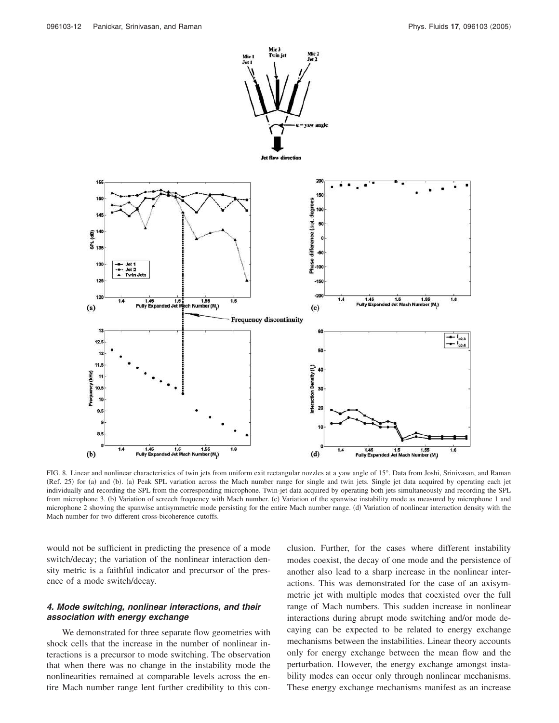

FIG. 8. Linear and nonlinear characteristics of twin jets from uniform exit rectangular nozzles at a yaw angle of 15°. Data from Joshi, Srinivasan, and Raman (Ref. 25) for (a) and (b). (a) Peak SPL variation across the Mach number range for single and twin jets. Single jet data acquired by operating each jet individually and recording the SPL from the corresponding microphone. Twin-jet data acquired by operating both jets simultaneously and recording the SPL from microphone 3. (b) Variation of screech frequency with Mach number. (c) Variation of the spanwise instability mode as measured by microphone 1 and microphone 2 showing the spanwise antisymmetric mode persisting for the entire Mach number range. (d) Variation of nonlinear interaction density with the Mach number for two different cross-bicoherence cutoffs.

would not be sufficient in predicting the presence of a mode switch/decay; the variation of the nonlinear interaction density metric is a faithful indicator and precursor of the presence of a mode switch/decay.

# **4. Mode switching, nonlinear interactions, and their association with energy exchange**

We demonstrated for three separate flow geometries with shock cells that the increase in the number of nonlinear interactions is a precursor to mode switching. The observation that when there was no change in the instability mode the nonlinearities remained at comparable levels across the entire Mach number range lent further credibility to this conclusion. Further, for the cases where different instability modes coexist, the decay of one mode and the persistence of another also lead to a sharp increase in the nonlinear interactions. This was demonstrated for the case of an axisymmetric jet with multiple modes that coexisted over the full range of Mach numbers. This sudden increase in nonlinear interactions during abrupt mode switching and/or mode decaying can be expected to be related to energy exchange mechanisms between the instabilities. Linear theory accounts only for energy exchange between the mean flow and the perturbation. However, the energy exchange amongst instability modes can occur only through nonlinear mechanisms. These energy exchange mechanisms manifest as an increase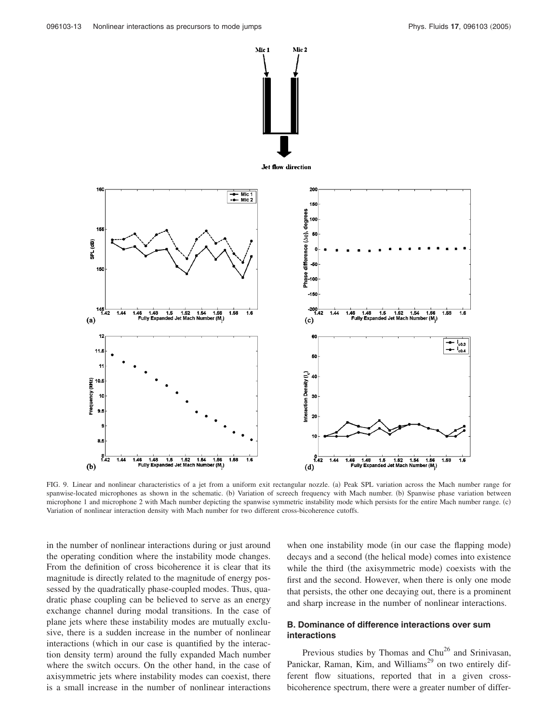

FIG. 9. Linear and nonlinear characteristics of a jet from a uniform exit rectangular nozzle. (a) Peak SPL variation across the Mach number range for spanwise-located microphones as shown in the schematic. (b) Variation of screech frequency with Mach number. (b) Spanwise phase variation between microphone 1 and microphone 2 with Mach number depicting the spanwise symmetric instability mode which persists for the entire Mach number range. (c) Variation of nonlinear interaction density with Mach number for two different cross-bicoherence cutoffs.

in the number of nonlinear interactions during or just around the operating condition where the instability mode changes. From the definition of cross bicoherence it is clear that its magnitude is directly related to the magnitude of energy possessed by the quadratically phase-coupled modes. Thus, quadratic phase coupling can be believed to serve as an energy exchange channel during modal transitions. In the case of plane jets where these instability modes are mutually exclusive, there is a sudden increase in the number of nonlinear interactions (which in our case is quantified by the interaction density term) around the fully expanded Mach number where the switch occurs. On the other hand, in the case of axisymmetric jets where instability modes can coexist, there is a small increase in the number of nonlinear interactions

when one instability mode (in our case the flapping mode) decays and a second (the helical mode) comes into existence while the third (the axisymmetric mode) coexists with the first and the second. However, when there is only one mode that persists, the other one decaying out, there is a prominent and sharp increase in the number of nonlinear interactions.

# **B. Dominance of difference interactions over sum interactions**

Previous studies by Thomas and Chu<sup>26</sup> and Srinivasan, Panickar, Raman, Kim, and Williams<sup>29</sup> on two entirely different flow situations, reported that in a given crossbicoherence spectrum, there were a greater number of differ-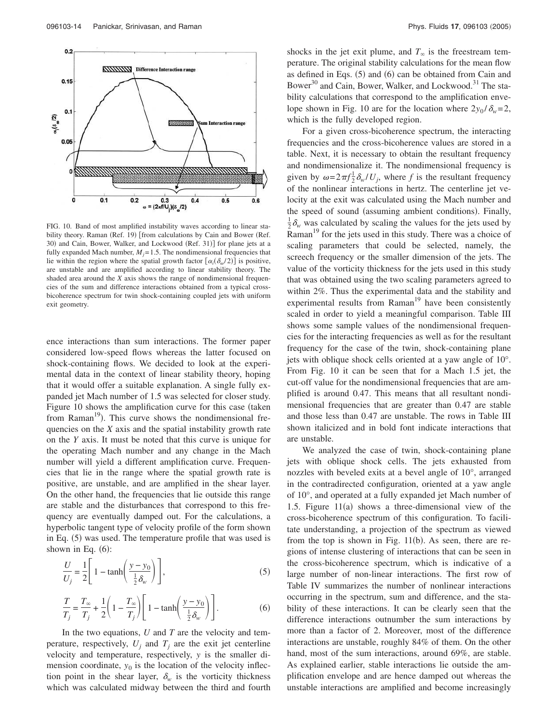

FIG. 10. Band of most amplified instability waves according to linear stability theory. Raman (Ref. 19) [from calculations by Cain and Bower (Ref. 30) and Cain, Bower, Walker, and Lockwood (Ref. 31)] for plane jets at a fully expanded Mach number,  $M_i = 1.5$ . The nondimensional frequencies that lie within the region where the spatial growth factor  $[\alpha_i(\delta_{\omega}/2)]$  is positive, are unstable and are amplified according to linear stability theory. The shaded area around the *X* axis shows the range of nondimensional frequencies of the sum and difference interactions obtained from a typical crossbicoherence spectrum for twin shock-containing coupled jets with uniform exit geometry.

ence interactions than sum interactions. The former paper considered low-speed flows whereas the latter focused on shock-containing flows. We decided to look at the experimental data in the context of linear stability theory, hoping that it would offer a suitable explanation. A single fully expanded jet Mach number of 1.5 was selected for closer study. Figure 10 shows the amplification curve for this case (taken from Raman<sup>19</sup>). This curve shows the nondimensional frequencies on the *X* axis and the spatial instability growth rate on the *Y* axis. It must be noted that this curve is unique for the operating Mach number and any change in the Mach number will yield a different amplification curve. Frequencies that lie in the range where the spatial growth rate is positive, are unstable, and are amplified in the shear layer. On the other hand, the frequencies that lie outside this range are stable and the disturbances that correspond to this frequency are eventually damped out. For the calculations, a hyperbolic tangent type of velocity profile of the form shown in Eq. (5) was used. The temperature profile that was used is shown in Eq.  $(6)$ :

$$
\frac{U}{U_j} = \frac{1}{2} \left[ 1 - \tanh\left(\frac{y - y_0}{\frac{1}{2}\delta_w}\right) \right],\tag{5}
$$

$$
\frac{T}{T_j} = \frac{T_{\infty}}{T_j} + \frac{1}{2} \left( 1 - \frac{T_{\infty}}{T_j} \right) \left[ 1 - \tanh\left(\frac{y - y_0}{\frac{1}{2}\delta_w}\right) \right].
$$
 (6)

In the two equations, *U* and *T* are the velocity and temperature, respectively,  $U_i$  and  $T_i$  are the exit jet centerline velocity and temperature, respectively, *y* is the smaller dimension coordinate,  $y_0$  is the location of the velocity inflection point in the shear layer,  $\delta_w$  is the vorticity thickness which was calculated midway between the third and fourth shocks in the jet exit plume, and  $T_{\infty}$  is the freestream temperature. The original stability calculations for the mean flow as defined in Eqs.  $(5)$  and  $(6)$  can be obtained from Cain and Bower<sup>30</sup> and Cain, Bower, Walker, and Lockwood.<sup>31</sup> The stability calculations that correspond to the amplification envelope shown in Fig. 10 are for the location where  $2y_0/\delta_w = 2$ , which is the fully developed region.

For a given cross-bicoherence spectrum, the interacting frequencies and the cross-bicoherence values are stored in a table. Next, it is necessary to obtain the resultant frequency and nondimensionalize it. The nondimensional frequency is given by  $\omega = 2\pi f_{2}^{\frac{1}{2}} \delta_{w}^{\prime} U_{j}$ , where *f* is the resultant frequency of the nonlinear interactions in hertz. The centerline jet velocity at the exit was calculated using the Mach number and the speed of sound (assuming ambient conditions). Finally,  $\frac{1}{2}\delta_w$  was calculated by scaling the values for the jets used by Raman<sup>19</sup> for the jets used in this study. There was a choice of scaling parameters that could be selected, namely, the screech frequency or the smaller dimension of the jets. The value of the vorticity thickness for the jets used in this study that was obtained using the two scaling parameters agreed to within 2%. Thus the experimental data and the stability and experimental results from  $\text{Raman}^{19}$  have been consistently scaled in order to yield a meaningful comparison. Table III shows some sample values of the nondimensional frequencies for the interacting frequencies as well as for the resultant frequency for the case of the twin, shock-containing plane jets with oblique shock cells oriented at a yaw angle of 10°. From Fig. 10 it can be seen that for a Mach 1.5 jet, the cut-off value for the nondimensional frequencies that are amplified is around 0.47. This means that all resultant nondimensional frequencies that are greater than 0.47 are stable and those less than 0.47 are unstable. The rows in Table III shown italicized and in bold font indicate interactions that are unstable.

We analyzed the case of twin, shock-containing plane jets with oblique shock cells. The jets exhausted from nozzles with beveled exits at a bevel angle of 10°, arranged in the contradirected configuration, oriented at a yaw angle of 10°, and operated at a fully expanded jet Mach number of 1.5. Figure  $11(a)$  shows a three-dimensional view of the cross-bicoherence spectrum of this configuration. To facilitate understanding, a projection of the spectrum as viewed from the top is shown in Fig.  $11(b)$ . As seen, there are regions of intense clustering of interactions that can be seen in the cross-bicoherence spectrum, which is indicative of a large number of non-linear interactions. The first row of Table IV summarizes the number of nonlinear interactions occurring in the spectrum, sum and difference, and the stability of these interactions. It can be clearly seen that the difference interactions outnumber the sum interactions by more than a factor of 2. Moreover, most of the difference interactions are unstable, roughly 84% of them. On the other hand, most of the sum interactions, around 69%, are stable. As explained earlier, stable interactions lie outside the amplification envelope and are hence damped out whereas the unstable interactions are amplified and become increasingly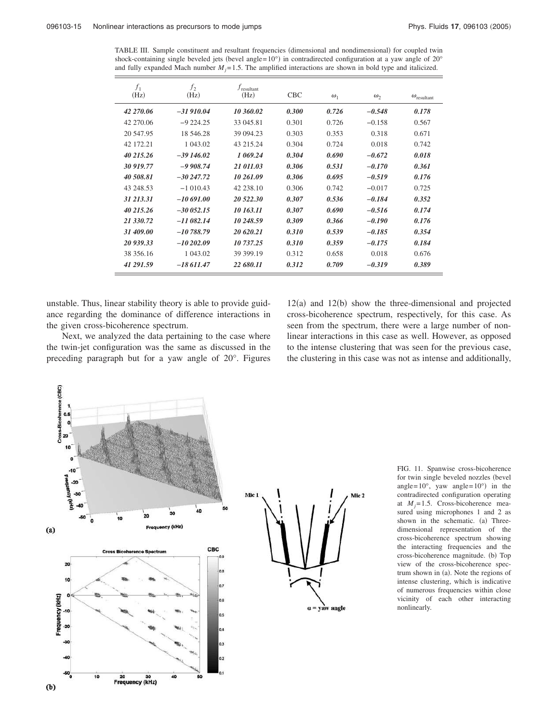TABLE III. Sample constituent and resultant frequencies (dimensional and nondimensional) for coupled twin shock-containing single beveled jets (bevel angle= $10^{\circ}$ ) in contradirected configuration at a yaw angle of  $20^{\circ}$ and fully expanded Mach number  $M_j = 1.5$ . The amplified interactions are shown in bold type and italicized.

| $f_1$<br>(Hz) | f <sub>2</sub><br>(Hz) | $f_{\text{resultant}}$<br>(Hz) | <b>CBC</b> | $\omega_1$ | $\omega_2$ | $\omega_{\text{resultant}}$ |
|---------------|------------------------|--------------------------------|------------|------------|------------|-----------------------------|
| 42 270.06     | $-31910.04$            | 10 360.02                      | 0.300      | 0.726      | $-0.548$   | 0.178                       |
| 42 270.06     | $-9224.25$             | 33 045.81                      | 0.301      | 0.726      | $-0.158$   | 0.567                       |
| 20 547.95     | 18.546.28              | 39 094.23                      | 0.303      | 0.353      | 0.318      | 0.671                       |
| 42 172.21     | 1 043.02               | 43 215.24                      | 0.304      | 0.724      | 0.018      | 0.742                       |
| 40 215.26     | $-39146.02$            | 1 069.24                       | 0.304      | 0.690      | $-0.672$   | 0.018                       |
| 30 919.77     | $-9908.74$             | 21 011.03                      | 0.306      | 0.531      | $-0.170$   | 0.361                       |
| 40 508.81     | $-30247.72$            | 10 261.09                      | 0.306      | 0.695      | $-0.519$   | 0.176                       |
| 43 248.53     | $-1010.43$             | 42 238.10                      | 0.306      | 0.742      | $-0.017$   | 0.725                       |
| 31 213.31     | $-10691.00$            | 20 522.30                      | 0.307      | 0.536      | $-0.184$   | 0.352                       |
| 40 215.26     | $-30052.15$            | 10 163.11                      | 0.307      | 0.690      | $-0.516$   | 0.174                       |
| 21 330.72     | $-11082.14$            | 10 248.59                      | 0.309      | 0.366      | $-0.190$   | 0.176                       |
| 31 409.00     | $-10788.79$            | 20 620.21                      | 0.310      | 0.539      | $-0.185$   | 0.354                       |
| 20 939.33     | $-10202.09$            | 10 737.25                      | 0.310      | 0.359      | $-0.175$   | 0.184                       |
| 38 356.16     | 1 043.02               | 39 399.19                      | 0.312      | 0.658      | 0.018      | 0.676                       |
| 41 291.59     | $-18611.47$            | 22 680.11                      | 0.312      | 0.709      | $-0.319$   | 0.389                       |

unstable. Thus, linear stability theory is able to provide guidance regarding the dominance of difference interactions in the given cross-bicoherence spectrum.

Next, we analyzed the data pertaining to the case where the twin-jet configuration was the same as discussed in the preceding paragraph but for a yaw angle of 20°. Figures

 $12(a)$  and  $12(b)$  show the three-dimensional and projected cross-bicoherence spectrum, respectively, for this case. As seen from the spectrum, there were a large number of nonlinear interactions in this case as well. However, as opposed to the intense clustering that was seen for the previous case, the clustering in this case was not as intense and additionally,





FIG. 11. Spanwise cross-bicoherence for twin single beveled nozzles (bevel angle= $10^{\circ}$ , yaw angle= $10^{\circ}$ ) in the contradirected configuration operating at *Mj*=1.5. Cross-bicoherence measured using microphones 1 and 2 as shown in the schematic. (a) Threedimensional representation of the cross-bicoherence spectrum showing the interacting frequencies and the cross-bicoherence magnitude. (b) Top view of the cross-bicoherence spectrum shown in (a). Note the regions of intense clustering, which is indicative of numerous frequencies within close vicinity of each other interacting nonlinearly.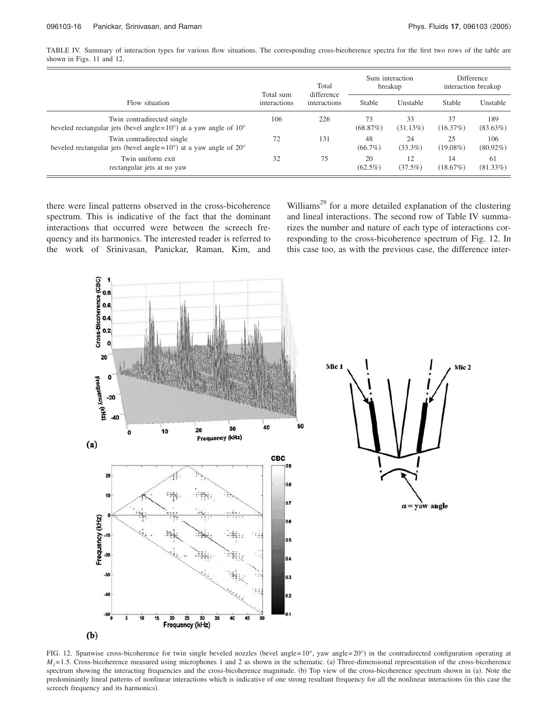TABLE IV. Summary of interaction types for various flow situations. The corresponding cross-bieoherence spectra for the first two rows of the table are shown in Figs. 11 and 12.

|                                                                                                                    | Total sum<br>interactions | Total<br>difference<br>interactions | Sum interaction<br>breakup |                  | <b>Difference</b><br>interaction breakup |                    |
|--------------------------------------------------------------------------------------------------------------------|---------------------------|-------------------------------------|----------------------------|------------------|------------------------------------------|--------------------|
| Flow situation                                                                                                     |                           |                                     | Stable                     | Unstable         | Stable                                   | Unstable           |
| Twin contradirected single<br>beveled rectangular jets (bevel angle= $10^{\circ}$ ) at a yaw angle of $10^{\circ}$ | 106                       | 226                                 | 73<br>(68.87%)             | 33<br>(31.13%)   | 37<br>(16.37%)                           | 189<br>$(83.63\%)$ |
| Twin contradirected single<br>beveled rectangular jets (bevel angle= $10^{\circ}$ ) at a yaw angle of $20^{\circ}$ | 72                        | 131                                 | 48<br>$(66.7\%)$           | 24<br>$(33.3\%)$ | 25<br>$(19.08\%)$                        | 106<br>$(80.92\%)$ |
| Twin uniform exit<br>rectangular jets at no yaw                                                                    | 32                        | 75                                  | 20<br>$(62.5\%)$           | 12<br>$(37.5\%)$ | 14<br>(18.67%)                           | 61<br>$(81.33\%)$  |

there were lineal patterns observed in the cross-bicoherence spectrum. This is indicative of the fact that the dominant interactions that occurred were between the screech frequency and its harmonics. The interested reader is referred to the work of Srinivasan, Panickar, Raman, Kim, and Williams<sup>29</sup> for a more detailed explanation of the clustering and lineal interactions. The second row of Table IV summarizes the number and nature of each type of interactions corresponding to the cross-bicoherence spectrum of Fig. 12. In this case too, as with the previous case, the difference inter-



FIG. 12. Spanwise cross-bicoherence for twin single beveled nozzles (bevel angle= $10^{\circ}$ , yaw angle= $20^{\circ}$ ) in the contradirected configuration operating at  $M_j$ =1.5. Cross-bicoherence measured using microphones 1 and 2 as shown in the schematic. (a) Three-dimensional representation of the cross-bicoherence spectrum showing the interacting frequencies and the cross-bicoherence magnitude. (b) Top view of the cross-bicoherence spectrum shown in (a). Note the predominantly lineal patterns of nonlinear interactions which is indicative of one strong resultant frequency for all the nonlinear interactions in this case the screech frequency and its harmonics).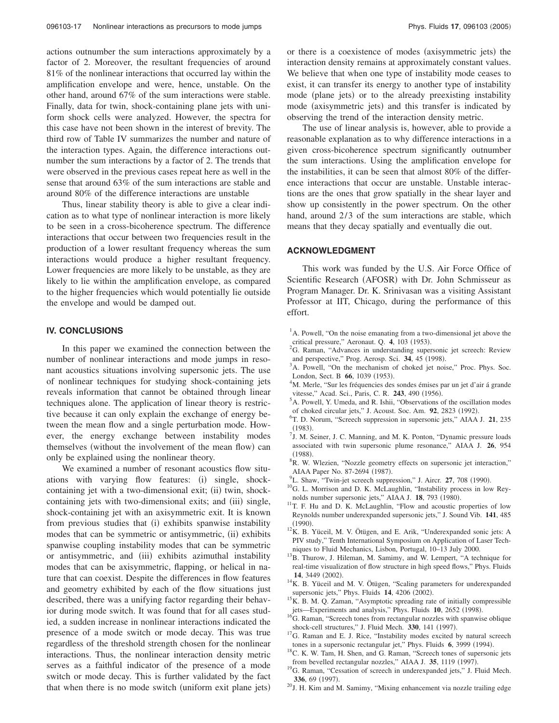actions outnumber the sum interactions approximately by a factor of 2. Moreover, the resultant frequencies of around 81% of the nonlinear interactions that occurred lay within the amplification envelope and were, hence, unstable. On the other hand, around 67% of the sum interactions were stable. Finally, data for twin, shock-containing plane jets with uniform shock cells were analyzed. However, the spectra for this case have not been shown in the interest of brevity. The third row of Table IV summarizes the number and nature of the interaction types. Again, the difference interactions outnumber the sum interactions by a factor of 2. The trends that were observed in the previous cases repeat here as well in the sense that around 63% of the sum interactions are stable and around 80% of the difference interactions are unstable

Thus, linear stability theory is able to give a clear indication as to what type of nonlinear interaction is more likely to be seen in a cross-bicoherence spectrum. The difference interactions that occur between two frequencies result in the production of a lower resultant frequency whereas the sum interactions would produce a higher resultant frequency. Lower frequencies are more likely to be unstable, as they are likely to lie within the amplification envelope, as compared to the higher frequencies which would potentially lie outside the envelope and would be damped out.

# **IV. CONCLUSIONS**

In this paper we examined the connection between the number of nonlinear interactions and mode jumps in resonant acoustics situations involving supersonic jets. The use of nonlinear techniques for studying shock-containing jets reveals information that cannot be obtained through linear techniques alone. The application of linear theory is restrictive because it can only explain the exchange of energy between the mean flow and a single perturbation mode. However, the energy exchange between instability modes themselves (without the involvement of the mean flow) can only be explained using the nonlinear theory.

We examined a number of resonant acoustics flow situations with varying flow features: (i) single, shockcontaining jet with a two-dimensional exit; (ii) twin, shockcontaining jets with two-dimensional exits; and (iii) single, shock-containing jet with an axisymmetric exit. It is known from previous studies that (i) exhibits spanwise instability modes that can be symmetric or antisymmetric, (ii) exhibits spanwise coupling instability modes that can be symmetric or antisymmetric, and (iii) exhibits azimuthal instability modes that can be axisymmetric, flapping, or helical in nature that can coexist. Despite the differences in flow features and geometry exhibited by each of the flow situations just described, there was a unifying factor regarding their behavior during mode switch. It was found that for all cases studied, a sudden increase in nonlinear interactions indicated the presence of a mode switch or mode decay. This was true regardless of the threshold strength chosen for the nonlinear interactions. Thus, the nonlinear interaction density metric serves as a faithful indicator of the presence of a mode switch or mode decay. This is further validated by the fact that when there is no mode switch (uniform exit plane jets)

or there is a coexistence of modes (axisymmetric jets) the interaction density remains at approximately constant values. We believe that when one type of instability mode ceases to exist, it can transfer its energy to another type of instability mode (plane jets) or to the already preexisting instability mode (axisymmetric jets) and this transfer is indicated by observing the trend of the interaction density metric.

The use of linear analysis is, however, able to provide a reasonable explanation as to why difference interactions in a given cross-bicoherence spectrum significantly outnumber the sum interactions. Using the amplification envelope for the instabilities, it can be seen that almost 80% of the difference interactions that occur are unstable. Unstable interactions are the ones that grow spatially in the shear layer and show up consistently in the power spectrum. On the other hand, around 2/3 of the sum interactions are stable, which means that they decay spatially and eventually die out.

#### **ACKNOWLEDGMENT**

This work was funded by the U.S. Air Force Office of Scientific Research (AFOSR) with Dr. John Schmisseur as Program Manager. Dr. K. Srinivasan was a visiting Assistant Professor at IIT, Chicago, during the performance of this effort.

- <sup>1</sup>A. Powell, "On the noise emanating from a two-dimensional jet above the critical pressure," Aeronaut. Q. 4, 103 (1953).
- <sup>2</sup>G. Raman, "Advances in understanding supersonic jet screech: Review and perspective," Prog. Aerosp. Sci. 34, 45 (1998).
- <sup>3</sup>A. Powell, "On the mechanism of choked jet noise," Proc. Phys. Soc. London, Sect. B 66, 1039 (1953).
- <sup>4</sup>M. Merle, "Sur les fréquencies des sondes émises par un jet d'air á grande vitesse," Acad. Sci., Paris, C. R. 243, 490 (1956).
- <sup>5</sup>A. Powell, Y. Umeda, and R. Ishii, "Observations of the oscillation modes of choked circular jets," J. Acoust. Soc. Am. 92, 2823 (1992).
- 6 T. D. Norum, "Screech suppression in supersonic jets," AIAA J. **21**, 235  $(1983).$
- <sup>7</sup>J. M. Seiner, J. C. Manning, and M. K. Ponton, "Dynamic pressure loads associated with twin supersonic plume resonance," AIAA J. **26**, 954  $(1988).$
- <sup>8</sup>R. W. Wlezien, "Nozzle geometry effects on supersonic jet interaction," AIAA Paper No. 87-2694 (1987).
- <sup>9</sup>L. Shaw, "Twin-jet screech suppression," J. Aircr. 27, 708 (1990).
- <sup>10</sup>G. L. Morrison and D. K. McLaughlin, "Instability process in low Reynolds number supersonic jets," AIAA J. 18, 793 (1980).
- <sup>11</sup>T. F. Hu and D. K. McLaughlin, "Flow and acoustic properties of low Reynolds number underexpanded supersonic jets," J. Sound Vib. **141**, 485  $(1990).$
- $12K$ . B. Yüceil, M. V. Ötügen, and E. Arik, "Underexpanded sonic jets: A PIV study," Tenth International Symposium on Application of Laser Techniques to Fluid Mechanics, Lisbon, Portugal, 10–13 July 2000.
- <sup>13</sup>B. Thurow, J. Hileman, M. Samimy, and W. Lempert, "A technique for real-time visualization of flow structure in high speed flows," Phys. Fluids 14, 3449 (2002).
- <sup>14</sup>K. B. Yüceil and M. V. Ötügen, "Scaling parameters for underexpanded supersonic jets," Phys. Fluids 14, 4206 (2002).
- <sup>15</sup>K. B. M. Q. Zaman, "Asymptotic spreading rate of initially compressible jets—Experiments and analysis," Phys. Fluids 10, 2652 (1998).
- <sup>16</sup>G. Raman, "Screech tones from rectangular nozzles with spanwise oblique shock-cell structures," J. Fluid Mech. 330, 141 (1997).
- <sup>17</sup>G. Raman and E. J. Rice, "Instability modes excited by natural screech tones in a supersonic rectangular jet," Phys. Fluids 6, 3999 (1994).
- <sup>18</sup>C. K. W. Tam, H. Shen, and G. Raman, "Screech tones of supersonic jets from bevelled rectangular nozzles," AIAA J. 35, 1119 (1997).
- <sup>19</sup>G. Raman, "Cessation of screech in underexpanded jets," J. Fluid Mech. **336**, 69 (1997).
- 336, 69 (1997).<br><sup>20</sup>J. H. Kim and M. Samimy, "Mixing enhancement via nozzle trailing edge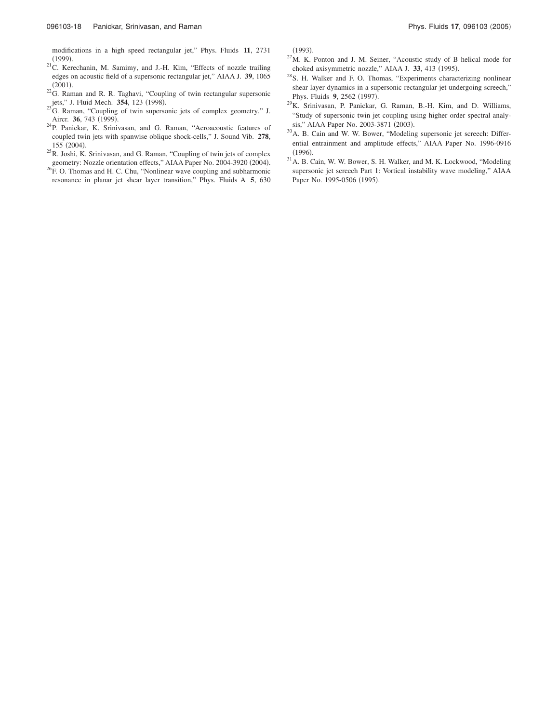modifications in a high speed rectangular jet," Phys. Fluids **11**, 2731 (1999).

- $21C$ . Kerechanin, M. Samimy, and J.-H. Kim, "Effects of nozzle trailing edges on acoustic field of a supersonic rectangular jet," AIAA J. **39**, 1065  $(2001).$
- $22^2$ G. Raman and R. R. Taghavi, "Coupling of twin rectangular supersonic iets," J. Fluid Mech. **354**, 123 (1998).<br><sup>23</sup>G. Raman, "Coupling of twin supersonic jets of complex geometry," J.
- Aircr. **36**, 743 (1999).
- <sup>24</sup>P. Panickar, K. Srinivasan, and G. Raman, "Aeroacoustic features of coupled twin jets with spanwise oblique shock-cells," J. Sound Vib. **278**, 155 (2004).
- $^{25}R$ . Joshi, K. Srinivasan, and G. Raman, "Coupling of twin jets of complex geometry: Nozzle orientation effects," AIAA Paper No. 2004-3920 (2004).
- <sup>26</sup>F. O. Thomas and H. C. Chu, "Nonlinear wave coupling and subharmonic resonance in planar jet shear layer transition," Phys. Fluids A **5**, 630

 $(1993).$ 

- <sup>27</sup>M. K. Ponton and J. M. Seiner, "Acoustic study of B helical mode for choked axisymmetric nozzle," AIAA J. 33, 413 (1995).
- <sup>28</sup>S. H. Walker and F. O. Thomas, "Experiments characterizing nonlinear shear layer dynamics in a supersonic rectangular jet undergoing screech," Phys. Fluids 9, 2562 (1997).
- <sup>29</sup>K. Srinivasan, P. Panickar, G. Raman, B.-H. Kim, and D. Williams, "Study of supersonic twin jet coupling using higher order spectral analysis," AIAA Paper No. 2003-3871 (2003).
- <sup>30</sup>A. B. Cain and W. W. Bower, "Modeling supersonic jet screech: Differential entrainment and amplitude effects," AIAA Paper No. 1996-0916  $(1996).$
- $31A$ . B. Cain, W. W. Bower, S. H. Walker, and M. K. Lockwood, "Modeling supersonic jet screech Part 1: Vortical instability wave modeling," AIAA Paper No. 1995-0506 (1995).